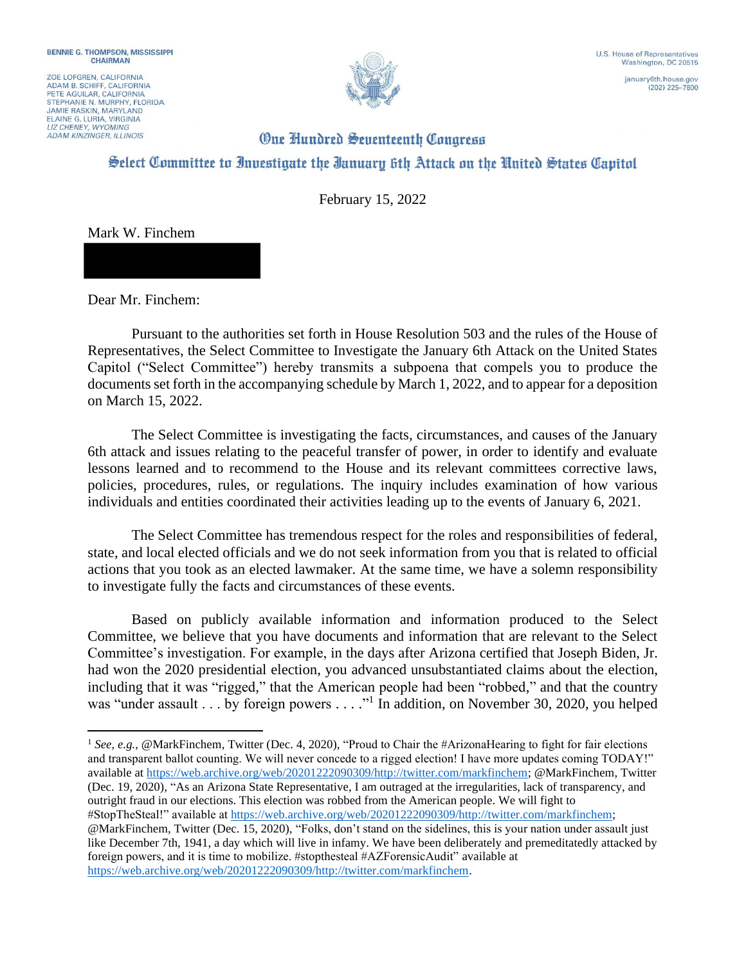ZOE LOFGREN, CALIFORNIA ADAM B. SCHIFF, CALIFORNIA<br>PETE AGUILAR, CALIFORNIA STEPHANIE N. MURPHY, FLORIDA **JAMIE RASKIN, MARYLAND** ELAINE G. LURIA, VIRGINIA **ADAM KINZINGER, ILLINOIS** 



 $(202)$  225-7800

## **One Hundred Seventeenth Congress** Select Committee to Investigate the Ianuary 6th Attack on the United States Capitol

February 15, 2022

Mark W. Finchem

Dear Mr. Finchem:

Pursuant to the authorities set forth in House Resolution 503 and the rules of the House of Representatives, the Select Committee to Investigate the January 6th Attack on the United States Capitol ("Select Committee") hereby transmits a subpoena that compels you to produce the documents set forth in the accompanying schedule by March 1, 2022, and to appear for a deposition on March 15, 2022.

The Select Committee is investigating the facts, circumstances, and causes of the January 6th attack and issues relating to the peaceful transfer of power, in order to identify and evaluate lessons learned and to recommend to the House and its relevant committees corrective laws, policies, procedures, rules, or regulations. The inquiry includes examination of how various individuals and entities coordinated their activities leading up to the events of January 6, 2021.

The Select Committee has tremendous respect for the roles and responsibilities of federal, state, and local elected officials and we do not seek information from you that is related to official actions that you took as an elected lawmaker. At the same time, we have a solemn responsibility to investigate fully the facts and circumstances of these events.

Based on publicly available information and information produced to the Select Committee, we believe that you have documents and information that are relevant to the Select Committee's investigation. For example, in the days after Arizona certified that Joseph Biden, Jr. had won the 2020 presidential election, you advanced unsubstantiated claims about the election, including that it was "rigged," that the American people had been "robbed," and that the country was "under assault . . . by foreign powers . . . ."<sup>1</sup> In addition, on November 30, 2020, you helped

<sup>&</sup>lt;sup>1</sup> See, e.g., @MarkFinchem, Twitter (Dec. 4, 2020), "Proud to Chair the #ArizonaHearing to fight for fair elections and transparent ballot counting. We will never concede to a rigged election! I have more updates coming TODAY!" available at https://web.archive.org/web/20201222090309/http://twitter.com/markfinchem; @MarkFinchem, Twitter (Dec. 19, 2020), "As an Arizona State Representative, I am outraged at the irregularities, lack of transparency, and outright fraud in our elections. This election was robbed from the American people. We will fight to #StopTheSteal!" available at https://web.archive.org/web/20201222090309/http://twitter.com/markfinchem; @MarkFinchem, Twitter (Dec. 15, 2020), "Folks, don't stand on the sidelines, this is your nation under assault just like December 7th, 1941, a day which will live in infamy. We have been deliberately and premeditatedly attacked by foreign powers, and it is time to mobilize. #stopthesteal #AZForensicAudit" available at https://web.archive.org/web/20201222090309/http://twitter.com/markfinchem.